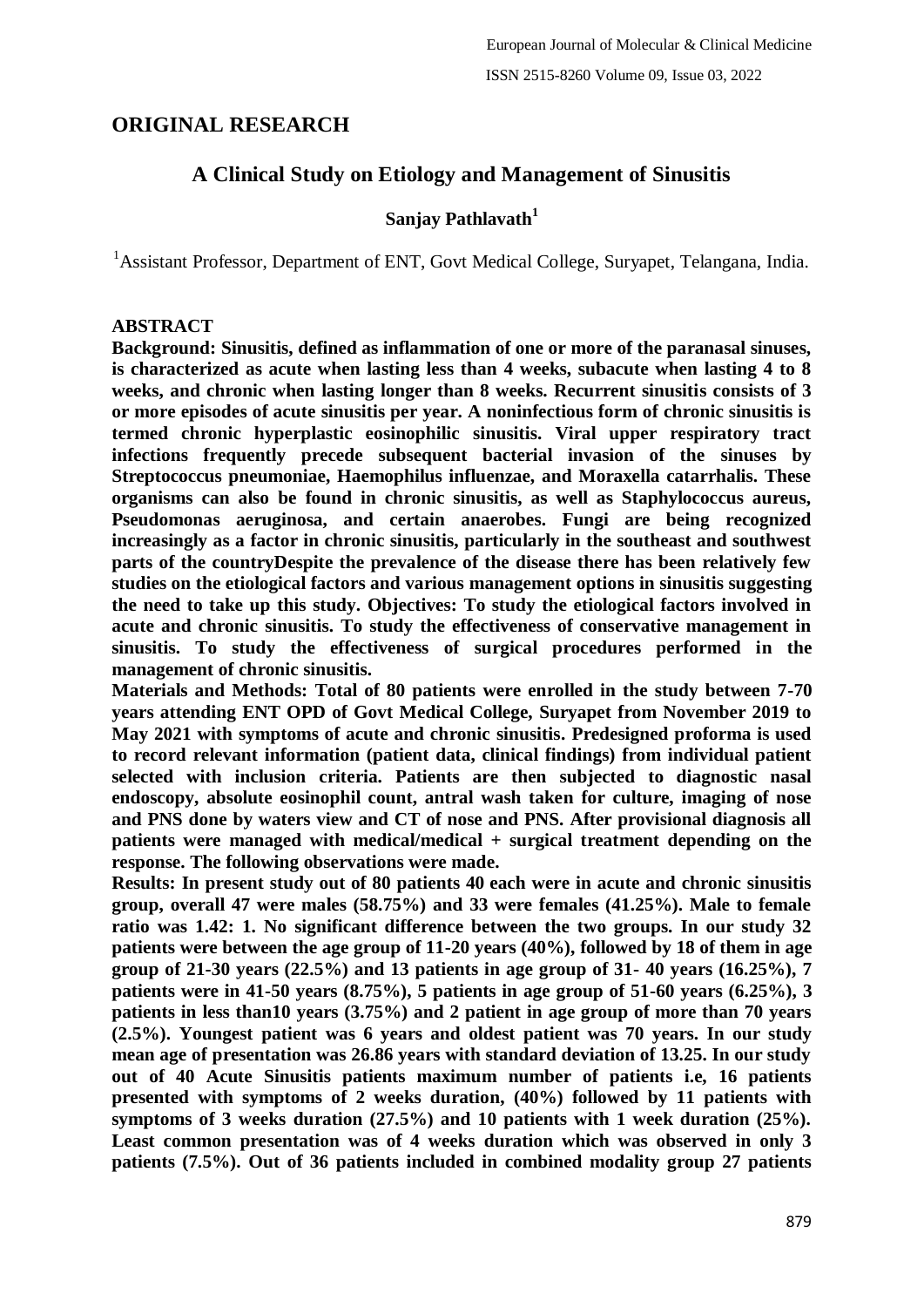# **ORIGINAL RESEARCH**

# **A Clinical Study on Etiology and Management of Sinusitis**

# **Sanjay Pathlavath<sup>1</sup>**

<sup>1</sup> Assistant Professor, Department of ENT, Govt Medical College, Suryapet, Telangana, India.

## **ABSTRACT**

**Background: Sinusitis, defined as inflammation of one or more of the paranasal sinuses, is characterized as acute when lasting less than 4 weeks, subacute when lasting 4 to 8 weeks, and chronic when lasting longer than 8 weeks. Recurrent sinusitis consists of 3 or more episodes of acute sinusitis per year. A noninfectious form of chronic sinusitis is termed chronic hyperplastic eosinophilic sinusitis. Viral upper respiratory tract infections frequently precede subsequent bacterial invasion of the sinuses by Streptococcus pneumoniae, Haemophilus influenzae, and Moraxella catarrhalis. These organisms can also be found in chronic sinusitis, as well as Staphylococcus aureus, Pseudomonas aeruginosa, and certain anaerobes. Fungi are being recognized increasingly as a factor in chronic sinusitis, particularly in the southeast and southwest parts of the countryDespite the prevalence of the disease there has been relatively few studies on the etiological factors and various management options in sinusitis suggesting the need to take up this study. Objectives: To study the etiological factors involved in acute and chronic sinusitis. To study the effectiveness of conservative management in sinusitis. To study the effectiveness of surgical procedures performed in the management of chronic sinusitis.**

**Materials and Methods: Total of 80 patients were enrolled in the study between 7-70 years attending ENT OPD of Govt Medical College, Suryapet from November 2019 to May 2021 with symptoms of acute and chronic sinusitis. Predesigned proforma is used to record relevant information (patient data, clinical findings) from individual patient selected with inclusion criteria. Patients are then subjected to diagnostic nasal endoscopy, absolute eosinophil count, antral wash taken for culture, imaging of nose and PNS done by waters view and CT of nose and PNS. After provisional diagnosis all patients were managed with medical/medical + surgical treatment depending on the response. The following observations were made.**

**Results: In present study out of 80 patients 40 each were in acute and chronic sinusitis group, overall 47 were males (58.75%) and 33 were females (41.25%). Male to female ratio was 1.42: 1. No significant difference between the two groups. In our study 32 patients were between the age group of 11-20 years (40%), followed by 18 of them in age group of 21-30 years (22.5%) and 13 patients in age group of 31- 40 years (16.25%), 7 patients were in 41-50 years (8.75%), 5 patients in age group of 51-60 years (6.25%), 3 patients in less than10 years (3.75%) and 2 patient in age group of more than 70 years (2.5%). Youngest patient was 6 years and oldest patient was 70 years. In our study mean age of presentation was 26.86 years with standard deviation of 13.25. In our study out of 40 Acute Sinusitis patients maximum number of patients i.e, 16 patients presented with symptoms of 2 weeks duration, (40%) followed by 11 patients with symptoms of 3 weeks duration (27.5%) and 10 patients with 1 week duration (25%). Least common presentation was of 4 weeks duration which was observed in only 3 patients (7.5%). Out of 36 patients included in combined modality group 27 patients**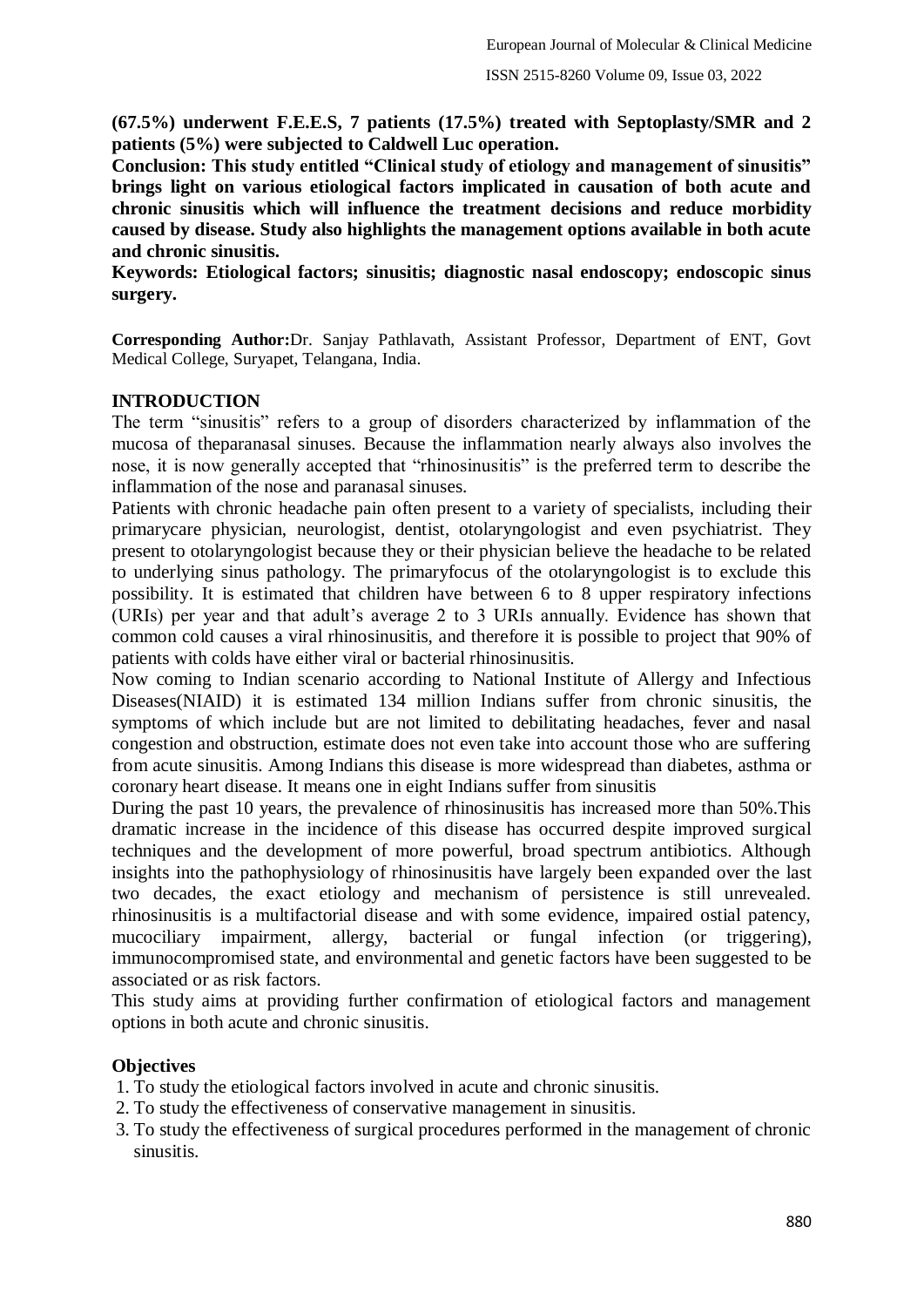**(67.5%) underwent F.E.E.S, 7 patients (17.5%) treated with Septoplasty/SMR and 2 patients (5%) were subjected to Caldwell Luc operation.**

**Conclusion: This study entitled "Clinical study of etiology and management of sinusitis" brings light on various etiological factors implicated in causation of both acute and chronic sinusitis which will influence the treatment decisions and reduce morbidity caused by disease. Study also highlights the management options available in both acute and chronic sinusitis.**

**Keywords: Etiological factors; sinusitis; diagnostic nasal endoscopy; endoscopic sinus surgery.**

**Corresponding Author:**Dr. Sanjay Pathlavath, Assistant Professor, Department of ENT, Govt Medical College, Suryapet, Telangana, India.

## **INTRODUCTION**

The term "sinusitis" refers to a group of disorders characterized by inflammation of the mucosa of theparanasal sinuses. Because the inflammation nearly always also involves the nose, it is now generally accepted that "rhinosinusitis" is the preferred term to describe the inflammation of the nose and paranasal sinuses.

Patients with chronic headache pain often present to a variety of specialists, including their primarycare physician, neurologist, dentist, otolaryngologist and even psychiatrist. They present to otolaryngologist because they or their physician believe the headache to be related to underlying sinus pathology. The primaryfocus of the otolaryngologist is to exclude this possibility. It is estimated that children have between 6 to 8 upper respiratory infections (URIs) per year and that adult's average 2 to 3 URIs annually. Evidence has shown that common cold causes a viral rhinosinusitis, and therefore it is possible to project that 90% of patients with colds have either viral or bacterial rhinosinusitis.

Now coming to Indian scenario according to National Institute of Allergy and Infectious Diseases(NIAID) it is estimated 134 million Indians suffer from chronic sinusitis, the symptoms of which include but are not limited to debilitating headaches, fever and nasal congestion and obstruction, estimate does not even take into account those who are suffering from acute sinusitis. Among Indians this disease is more widespread than diabetes, asthma or coronary heart disease. It means one in eight Indians suffer from sinusitis

During the past 10 years, the prevalence of rhinosinusitis has increased more than 50%.This dramatic increase in the incidence of this disease has occurred despite improved surgical techniques and the development of more powerful, broad spectrum antibiotics. Although insights into the pathophysiology of rhinosinusitis have largely been expanded over the last two decades, the exact etiology and mechanism of persistence is still unrevealed. rhinosinusitis is a multifactorial disease and with some evidence, impaired ostial patency, mucociliary impairment, allergy, bacterial or fungal infection (or triggering), immunocompromised state, and environmental and genetic factors have been suggested to be associated or as risk factors.

This study aims at providing further confirmation of etiological factors and management options in both acute and chronic sinusitis.

# **Objectives**

- 1. To study the etiological factors involved in acute and chronic sinusitis.
- 2. To study the effectiveness of conservative management in sinusitis.
- 3. To study the effectiveness of surgical procedures performed in the management of chronic sinusitis.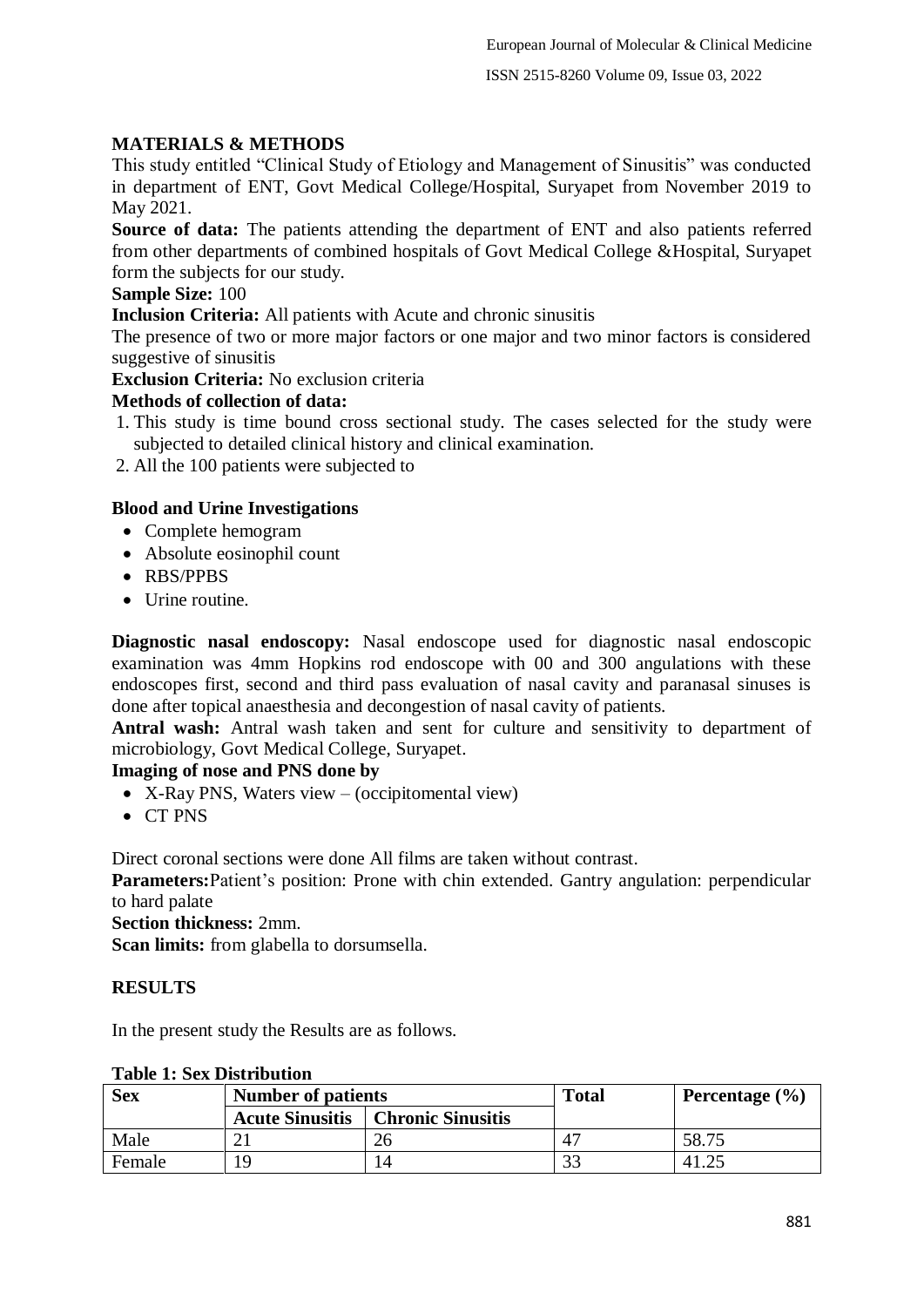# **MATERIALS & METHODS**

This study entitled "Clinical Study of Etiology and Management of Sinusitis" was conducted in department of ENT, Govt Medical College/Hospital, Suryapet from November 2019 to May 2021.

**Source of data:** The patients attending the department of ENT and also patients referred from other departments of combined hospitals of Govt Medical College &Hospital, Suryapet form the subjects for our study.

# **Sample Size:** 100

**Inclusion Criteria:** All patients with Acute and chronic sinusitis

The presence of two or more major factors or one major and two minor factors is considered suggestive of sinusitis

**Exclusion Criteria:** No exclusion criteria

# **Methods of collection of data:**

1. This study is time bound cross sectional study. The cases selected for the study were subjected to detailed clinical history and clinical examination.

2. All the 100 patients were subjected to

# **Blood and Urine Investigations**

- Complete hemogram
- Absolute eosinophil count
- RBS/PPBS
- $\bullet$  Urine routine.

**Diagnostic nasal endoscopy:** Nasal endoscope used for diagnostic nasal endoscopic examination was 4mm Hopkins rod endoscope with 00 and 300 angulations with these endoscopes first, second and third pass evaluation of nasal cavity and paranasal sinuses is done after topical anaesthesia and decongestion of nasal cavity of patients.

**Antral wash:** Antral wash taken and sent for culture and sensitivity to department of microbiology, Govt Medical College, Suryapet.

# **Imaging of nose and PNS done by**

- X-Ray PNS, Waters view (occipitomental view)
- CT PNS

Direct coronal sections were done All films are taken without contrast.

**Parameters:**Patient's position: Prone with chin extended. Gantry angulation: perpendicular to hard palate

# **Section thickness:** 2mm.

**Scan limits:** from glabella to dorsumsella.

# **RESULTS**

In the present study the Results are as follows.

| <b>Sex</b> | <b>Number of patients</b> |                   | <b>Total</b>           | Percentage $(\% )$ |
|------------|---------------------------|-------------------|------------------------|--------------------|
|            | <b>Acute Sinusitis</b>    | Chronic Sinusitis |                        |                    |
| Male       |                           |                   | $\Lambda$ <sup>-</sup> | 58.75              |
| Female     | 19                        |                   | 3 <sup>3</sup>         |                    |

# **Table 1: Sex Distribution**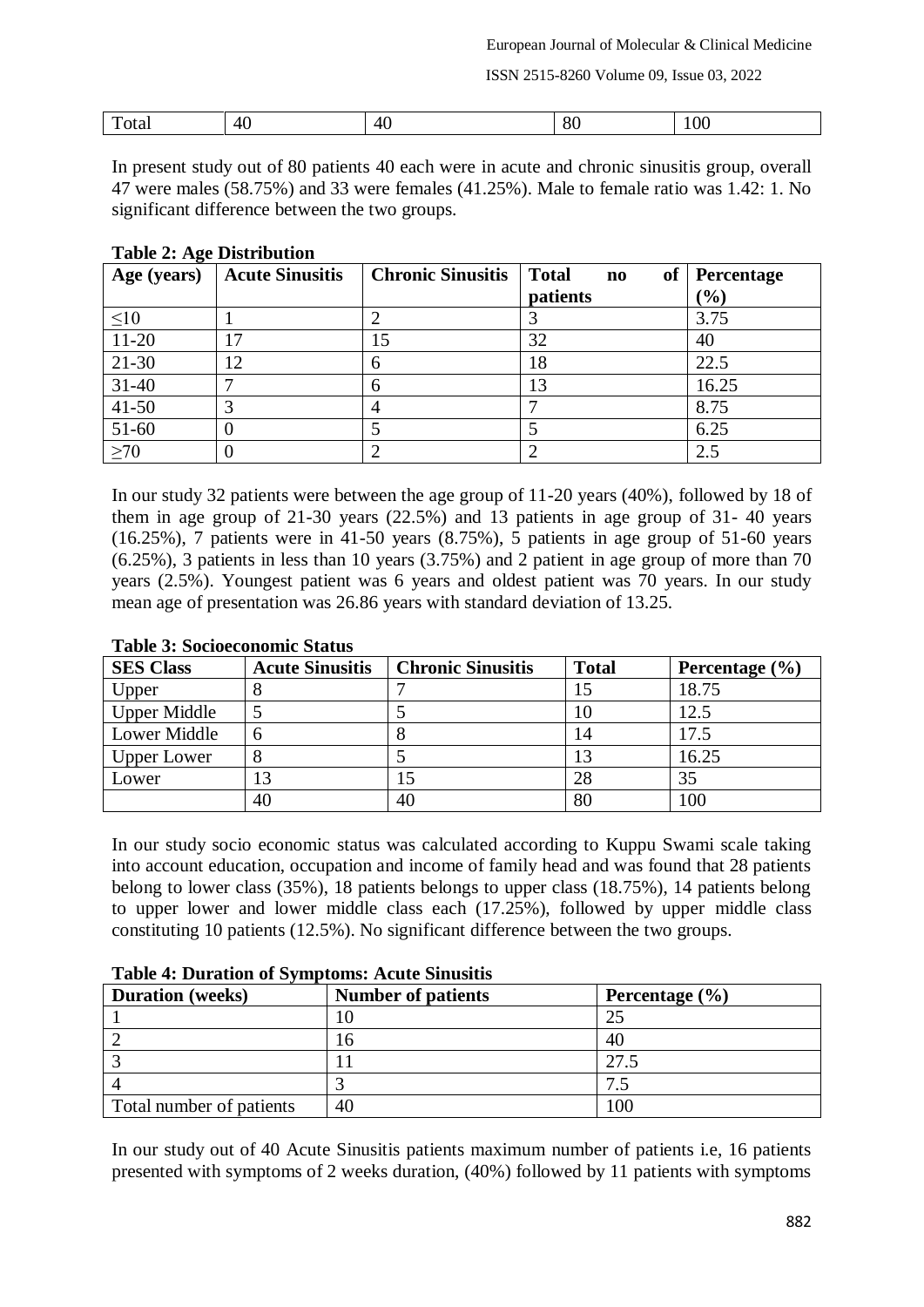ISSN 2515-8260 Volume 09, Issue 03, 2022

| m<br>$- - - - -$ | $\sqrt{2}$<br>. . | 41<br>. | $\Omega$<br>$\cdot$<br>. | ,,, |
|------------------|-------------------|---------|--------------------------|-----|
|                  |                   |         |                          |     |

In present study out of 80 patients 40 each were in acute and chronic sinusitis group, overall 47 were males (58.75%) and 33 were females (41.25%). Male to female ratio was 1.42: 1. No significant difference between the two groups.

#### **Table 2: Age Distribution**

| Age (years) | <b>Acute Sinusitis</b> | <b>Chronic Sinusitis</b> | <b>Total</b><br>of<br>$\mathbf{n}\mathbf{o}$ | Percentage       |
|-------------|------------------------|--------------------------|----------------------------------------------|------------------|
|             |                        |                          | patients                                     | $\mathcal{O}(6)$ |
| $\leq 10$   |                        |                          |                                              | 3.75             |
| $11-20$     | 17                     | 15                       | 32                                           | 40               |
| $21 - 30$   | 12                     | n                        | 18                                           | 22.5             |
| $31 - 40$   |                        | h                        | 13                                           | 16.25            |
| $41 - 50$   |                        |                          |                                              | 8.75             |
| 51-60       |                        |                          |                                              | 6.25             |
| >70         |                        |                          |                                              | 2.5              |

In our study 32 patients were between the age group of 11-20 years (40%), followed by 18 of them in age group of 21-30 years (22.5%) and 13 patients in age group of 31- 40 years  $(16.25\%)$ , 7 patients were in 41-50 years  $(8.75\%)$ , 5 patients in age group of 51-60 years (6.25%), 3 patients in less than 10 years (3.75%) and 2 patient in age group of more than 70 years (2.5%). Youngest patient was 6 years and oldest patient was 70 years. In our study mean age of presentation was 26.86 years with standard deviation of 13.25.

| TWO TO DOOD CONTROLLED DUMUMD |                        |                          |              |                    |  |
|-------------------------------|------------------------|--------------------------|--------------|--------------------|--|
| <b>SES Class</b>              | <b>Acute Sinusitis</b> | <b>Chronic Sinusitis</b> | <b>Total</b> | Percentage $(\% )$ |  |
| Upper                         |                        |                          | 15           | 18.75              |  |
| <b>Upper Middle</b>           |                        |                          | 10           | 12.5               |  |
| Lower Middle                  |                        |                          | 14           | 17.5               |  |
| <b>Upper Lower</b>            |                        |                          | 13           | 16.25              |  |
| Lower                         | 13                     | 15                       | 28           | 35                 |  |
|                               | 40                     | 40                       | 80           | 100                |  |

#### **Table 3: Socioeconomic Status**

In our study socio economic status was calculated according to Kuppu Swami scale taking into account education, occupation and income of family head and was found that 28 patients belong to lower class (35%), 18 patients belongs to upper class (18.75%), 14 patients belong to upper lower and lower middle class each (17.25%), followed by upper middle class constituting 10 patients (12.5%). No significant difference between the two groups.

| <b>Duration</b> (weeks)  | <b>Number of patients</b> | Percentage $(\% )$ |
|--------------------------|---------------------------|--------------------|
|                          |                           |                    |
|                          |                           | 40                 |
|                          |                           | 27.5               |
|                          |                           |                    |
| Total number of patients | 40                        | 100                |

**Table 4: Duration of Symptoms: Acute Sinusitis**

In our study out of 40 Acute Sinusitis patients maximum number of patients i.e, 16 patients presented with symptoms of 2 weeks duration, (40%) followed by 11 patients with symptoms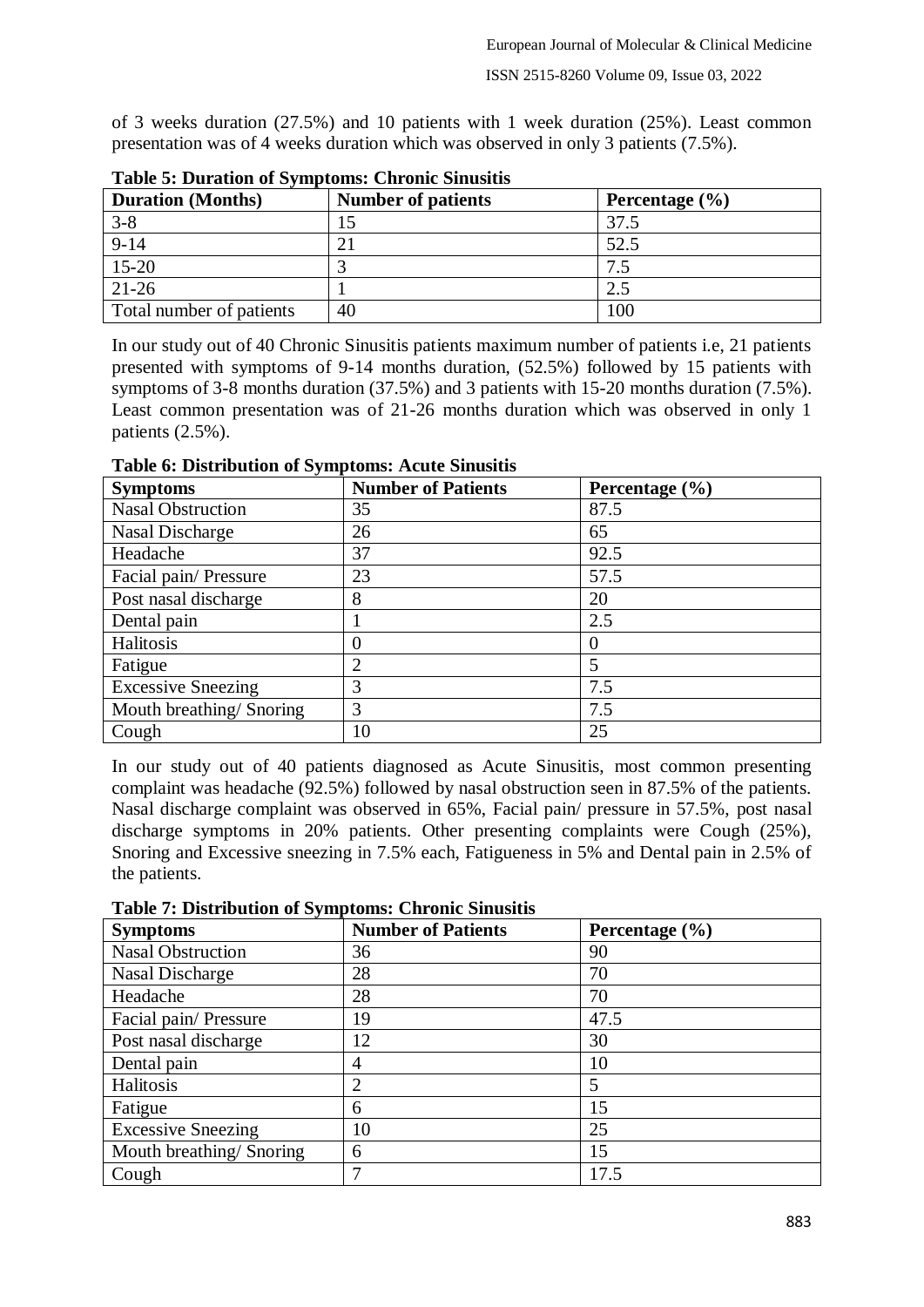of 3 weeks duration (27.5%) and 10 patients with 1 week duration (25%). Least common presentation was of 4 weeks duration which was observed in only 3 patients (7.5%).

| <b>Duration</b> (Months) | <b>Number of patients</b> | Percentage $(\% )$ |  |  |
|--------------------------|---------------------------|--------------------|--|--|
| $3 - 8$                  |                           | 37.5               |  |  |
| $9-14$                   |                           | 52.5               |  |  |
| $15 - 20$                |                           |                    |  |  |
| $21 - 26$                |                           | 2.5                |  |  |
| Total number of patients | 40                        | 100                |  |  |

**Table 5: Duration of Symptoms: Chronic Sinusitis**

In our study out of 40 Chronic Sinusitis patients maximum number of patients i.e, 21 patients presented with symptoms of 9-14 months duration, (52.5%) followed by 15 patients with symptoms of 3-8 months duration (37.5%) and 3 patients with 15-20 months duration (7.5%). Least common presentation was of 21-26 months duration which was observed in only 1 patients (2.5%).

**Table 6: Distribution of Symptoms: Acute Sinusitis**

| <b>Symptoms</b>           | <b>Number of Patients</b> | Percentage $(\% )$ |
|---------------------------|---------------------------|--------------------|
| <b>Nasal Obstruction</b>  | 35                        | 87.5               |
| Nasal Discharge           | 26                        | 65                 |
| Headache                  | 37                        | 92.5               |
| Facial pain/Pressure      | 23                        | 57.5               |
| Post nasal discharge      | 8                         | 20                 |
| Dental pain               |                           | 2.5                |
| Halitosis                 | 0                         |                    |
| Fatigue                   | $\overline{2}$            |                    |
| <b>Excessive Sneezing</b> | 3                         | 7.5                |
| Mouth breathing/Snoring   | 3                         | 7.5                |
| Cough                     | 10                        | 25                 |

In our study out of 40 patients diagnosed as Acute Sinusitis, most common presenting complaint was headache (92.5%) followed by nasal obstruction seen in 87.5% of the patients. Nasal discharge complaint was observed in 65%, Facial pain/ pressure in 57.5%, post nasal discharge symptoms in 20% patients. Other presenting complaints were Cough (25%), Snoring and Excessive sneezing in 7.5% each, Fatigueness in 5% and Dental pain in 2.5% of the patients.

**Table 7: Distribution of Symptoms: Chronic Sinusitis**

| <b>Symptoms</b>           | <b>Number of Patients</b> | Percentage (%) |
|---------------------------|---------------------------|----------------|
| <b>Nasal Obstruction</b>  | 36                        | 90             |
| Nasal Discharge           | 28                        | 70             |
| Headache                  | 28                        | 70             |
| Facial pain/Pressure      | 19                        | 47.5           |
| Post nasal discharge      | 12                        | 30             |
| Dental pain               | 4                         | 10             |
| Halitosis                 | $\overline{2}$            | 5              |
| Fatigue                   | 6                         | 15             |
| <b>Excessive Sneezing</b> | 10                        | 25             |
| Mouth breathing/Snoring   | 6                         | 15             |
| Cough                     | 7                         | 17.5           |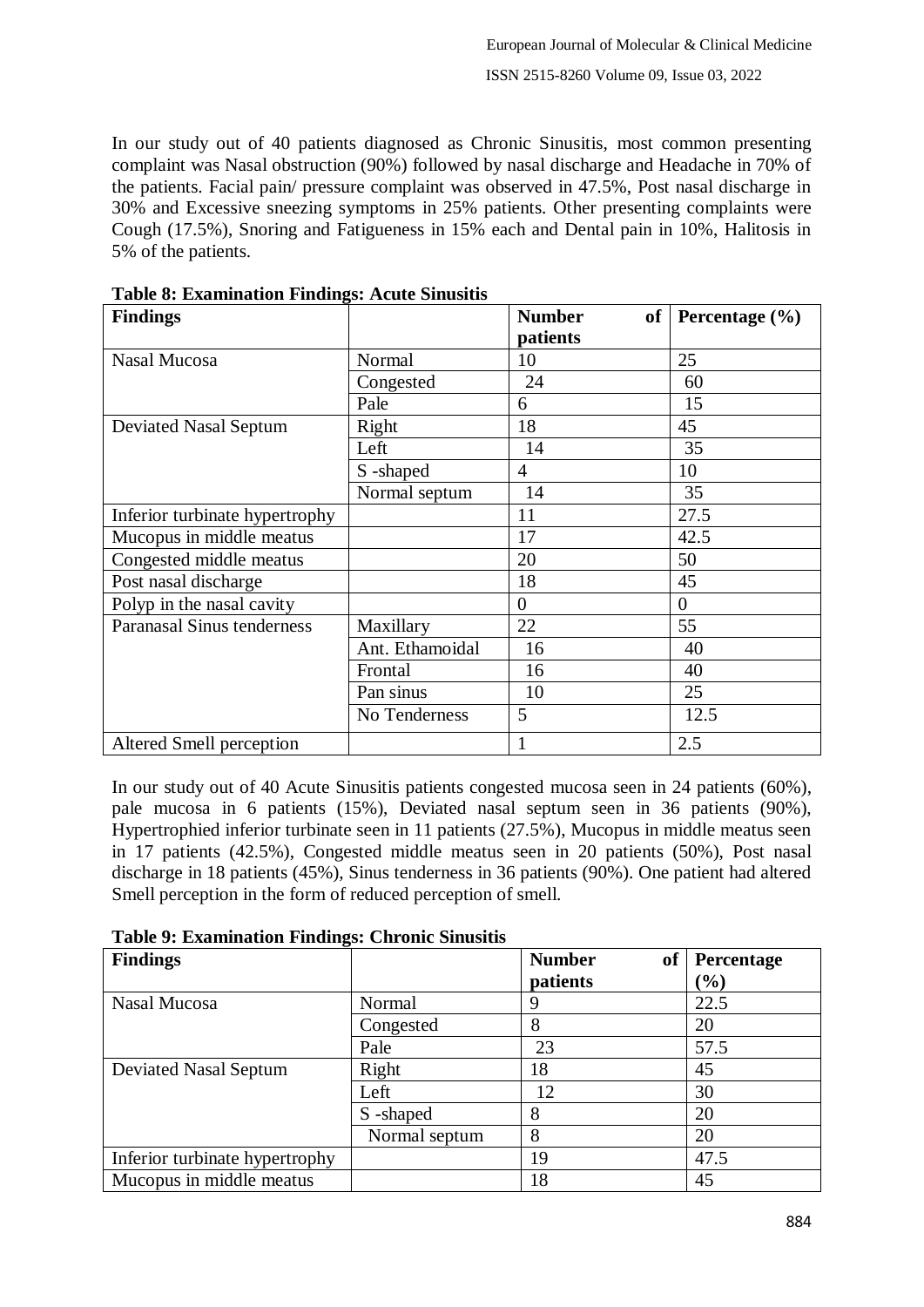In our study out of 40 patients diagnosed as Chronic Sinusitis, most common presenting complaint was Nasal obstruction (90%) followed by nasal discharge and Headache in 70% of the patients. Facial pain/ pressure complaint was observed in 47.5%, Post nasal discharge in 30% and Excessive sneezing symptoms in 25% patients. Other presenting complaints were Cough (17.5%), Snoring and Fatigueness in 15% each and Dental pain in 10%, Halitosis in 5% of the patients.

| <b>Findings</b>                |                 | <b>Number</b>  | of Percentage $(\% )$ |
|--------------------------------|-----------------|----------------|-----------------------|
|                                |                 | patients       |                       |
| Nasal Mucosa                   | Normal          | 10             | 25                    |
|                                | Congested       | 24             | 60                    |
|                                | Pale            | 6              | 15                    |
| Deviated Nasal Septum          | Right           | 18             | 45                    |
|                                | Left            | 14             | 35                    |
|                                | S-shaped        | $\overline{4}$ | 10                    |
|                                | Normal septum   | 14             | 35                    |
| Inferior turbinate hypertrophy |                 | 11             | 27.5                  |
| Mucopus in middle meatus       |                 | 17             | 42.5                  |
| Congested middle meatus        |                 | 20             | 50                    |
| Post nasal discharge           |                 | 18             | 45                    |
| Polyp in the nasal cavity      |                 | $\theta$       | $\theta$              |
| Paranasal Sinus tenderness     | Maxillary       | 22             | 55                    |
|                                | Ant. Ethamoidal | 16             | 40                    |
|                                | Frontal         | 16             | 40                    |
|                                | Pan sinus       | 10             | 25                    |
|                                | No Tenderness   | 5              | 12.5                  |
| Altered Smell perception       |                 |                | 2.5                   |

**Table 8: Examination Findings: Acute Sinusitis**

In our study out of 40 Acute Sinusitis patients congested mucosa seen in 24 patients (60%), pale mucosa in 6 patients (15%), Deviated nasal septum seen in 36 patients (90%), Hypertrophied inferior turbinate seen in 11 patients (27.5%), Mucopus in middle meatus seen in 17 patients (42.5%), Congested middle meatus seen in 20 patients (50%), Post nasal discharge in 18 patients (45%), Sinus tenderness in 36 patients (90%). One patient had altered Smell perception in the form of reduced perception of smell.

| <b>Findings</b>                |               | <b>Number</b><br>of | <b>Percentage</b> |
|--------------------------------|---------------|---------------------|-------------------|
|                                |               | patients            | $\mathcal{O}_0$   |
| Nasal Mucosa                   | Normal        | 9                   | 22.5              |
|                                | Congested     | 8                   | 20                |
|                                | Pale          | 23                  | 57.5              |
| <b>Deviated Nasal Septum</b>   | Right         | 18                  | 45                |
|                                | Left          | 12                  | 30                |
|                                | S-shaped      | 8                   | 20                |
|                                | Normal septum | 8                   | 20                |
| Inferior turbinate hypertrophy |               | 19                  | 47.5              |
| Mucopus in middle meatus       |               | 18                  | 45                |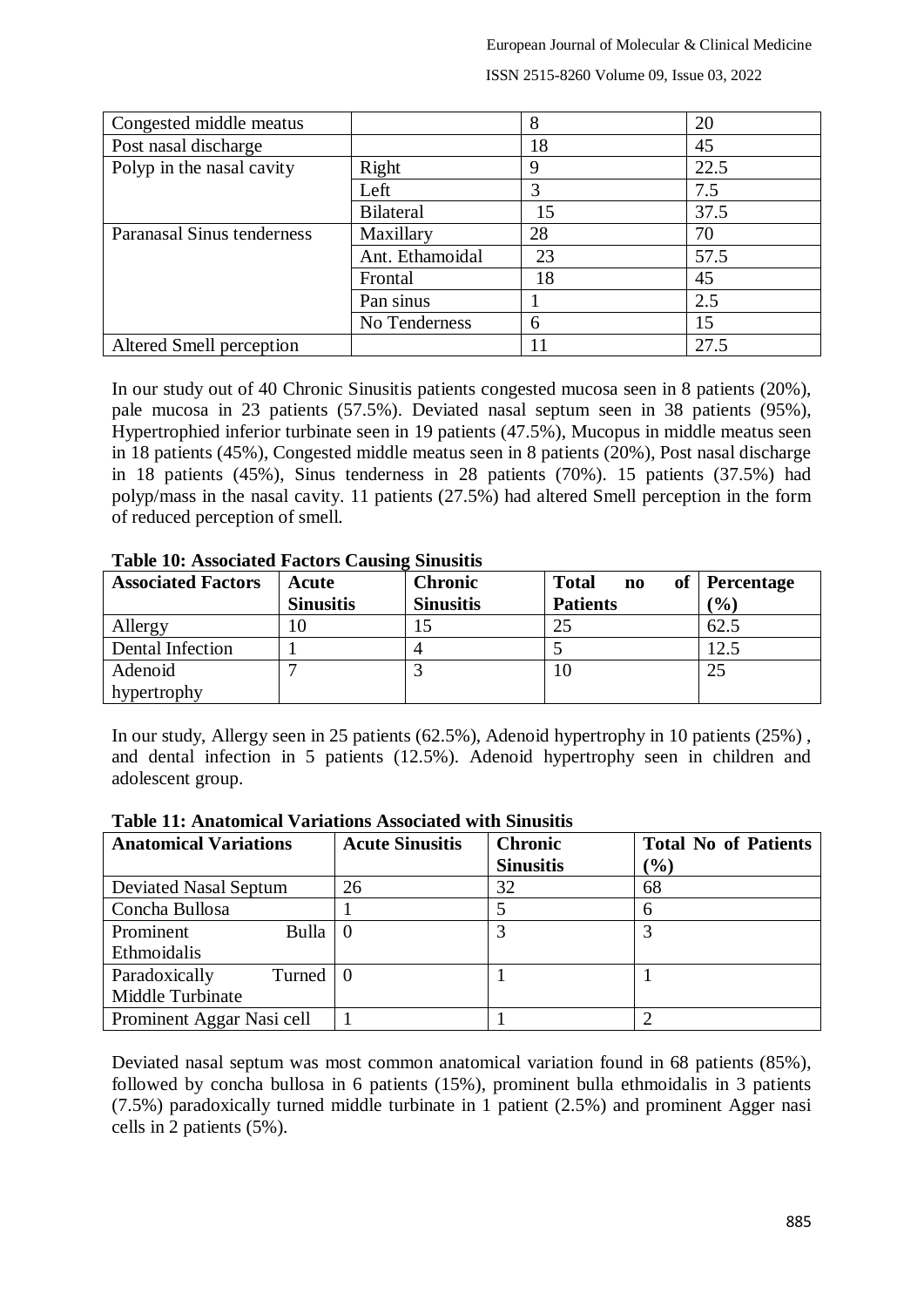European Journal of Molecular & Clinical Medicine

| Congested middle meatus    |                  | 8  | 20   |
|----------------------------|------------------|----|------|
| Post nasal discharge       |                  | 18 | 45   |
| Polyp in the nasal cavity  | Right            | 9  | 22.5 |
|                            | Left             |    | 7.5  |
|                            | <b>Bilateral</b> | 15 | 37.5 |
| Paranasal Sinus tenderness | Maxillary        | 28 | 70   |
|                            | Ant. Ethamoidal  | 23 | 57.5 |
|                            | Frontal          | 18 | 45   |
|                            | Pan sinus        |    | 2.5  |
|                            | No Tenderness    | 6  | 15   |
| Altered Smell perception   |                  |    | 27.5 |

ISSN 2515-8260 Volume 09, Issue 03, 2022

In our study out of 40 Chronic Sinusitis patients congested mucosa seen in 8 patients (20%), pale mucosa in 23 patients (57.5%). Deviated nasal septum seen in 38 patients (95%), Hypertrophied inferior turbinate seen in 19 patients (47.5%), Mucopus in middle meatus seen in 18 patients (45%), Congested middle meatus seen in 8 patients (20%), Post nasal discharge in 18 patients (45%), Sinus tenderness in 28 patients (70%). 15 patients (37.5%) had polyp/mass in the nasal cavity. 11 patients (27.5%) had altered Smell perception in the form of reduced perception of smell.

| <b>Associated Factors</b> | Acute            | <b>Chronic</b>   | <b>Total</b><br><sub>of</sub><br>$\mathbf{n}\mathbf{o}$ | <b>Percentage</b> |
|---------------------------|------------------|------------------|---------------------------------------------------------|-------------------|
|                           | <b>Sinusitis</b> | <b>Sinusitis</b> | <b>Patients</b>                                         | $\frac{1}{2}$     |
| Allergy                   | 10               |                  | 25                                                      | 62.5              |
| Dental Infection          |                  |                  |                                                         | 12.5              |
| Adenoid                   |                  |                  |                                                         | 25                |
| hypertrophy               |                  |                  |                                                         |                   |

#### **Table 10: Associated Factors Causing Sinusitis**

In our study, Allergy seen in 25 patients (62.5%), Adenoid hypertrophy in 10 patients (25%) , and dental infection in 5 patients (12.5%). Adenoid hypertrophy seen in children and adolescent group.

| <b>Anatomical Variations</b> | <b>Acute Sinusitis</b> | <b>Chronic</b>   | <b>Total No of Patients</b> |
|------------------------------|------------------------|------------------|-----------------------------|
|                              |                        | <b>Sinusitis</b> | $(\%)$                      |
| <b>Deviated Nasal Septum</b> | 26                     | 32               | 68                          |
| Concha Bullosa               |                        |                  | 6                           |
| Bulla<br>Prominent           |                        |                  |                             |
| Ethmoidalis                  |                        |                  |                             |
| Paradoxically<br>Turned      |                        |                  |                             |
| Middle Turbinate             |                        |                  |                             |
| Prominent Aggar Nasi cell    |                        |                  |                             |

**Table 11: Anatomical Variations Associated with Sinusitis**

Deviated nasal septum was most common anatomical variation found in 68 patients (85%), followed by concha bullosa in 6 patients (15%), prominent bulla ethmoidalis in 3 patients (7.5%) paradoxically turned middle turbinate in 1 patient (2.5%) and prominent Agger nasi cells in 2 patients (5%).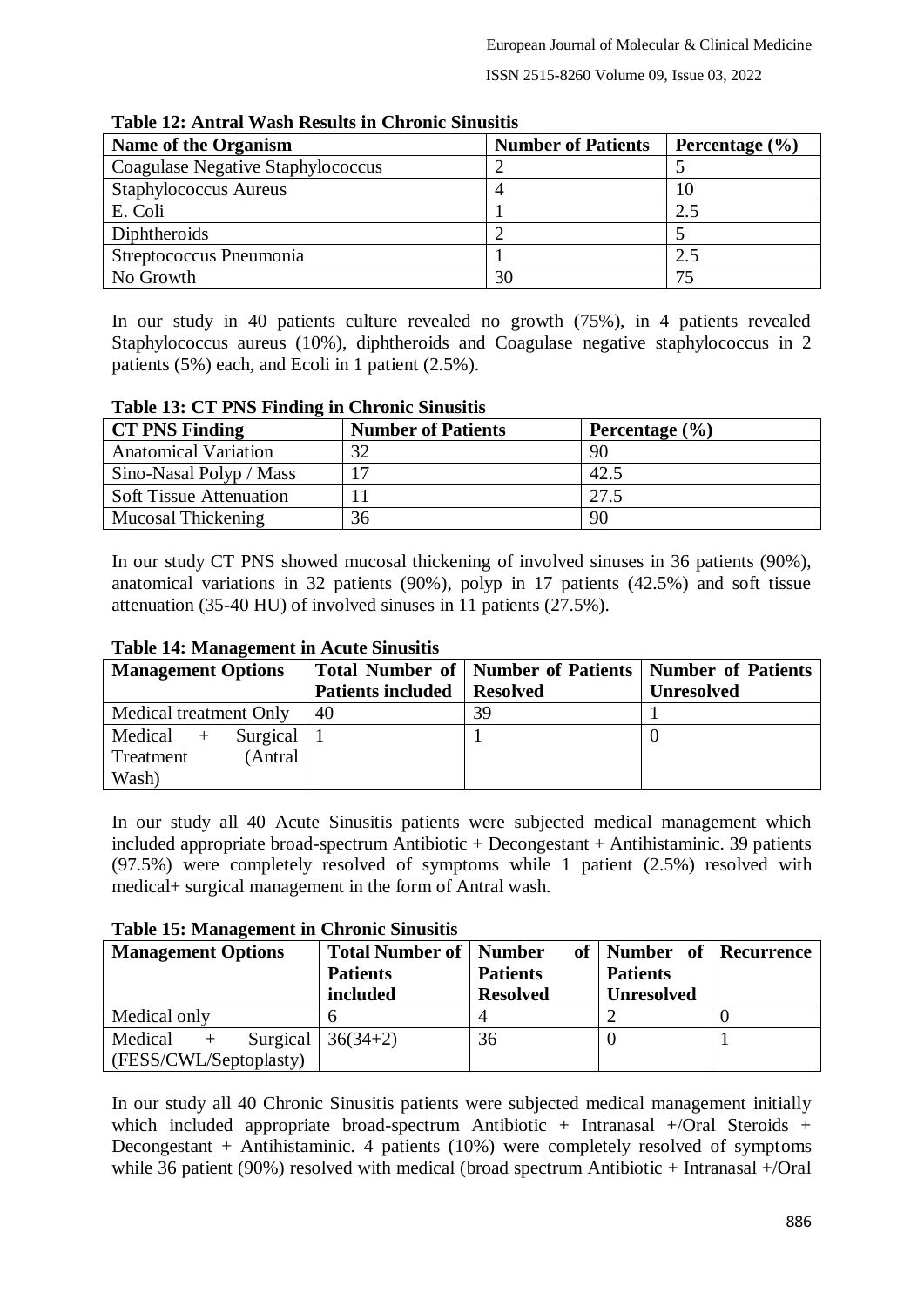| <b>Name of the Organism</b>       | <b>Number of Patients</b> | Percentage $(\% )$ |  |
|-----------------------------------|---------------------------|--------------------|--|
| Coagulase Negative Staphylococcus |                           |                    |  |
| <b>Staphylococcus Aureus</b>      |                           | 10                 |  |
| E. Coli                           |                           | 2.5                |  |
| Diphtheroids                      |                           |                    |  |
| Streptococcus Pneumonia           |                           | 2.5                |  |
| No Growth                         | 30                        | 75                 |  |

**Table 12: Antral Wash Results in Chronic Sinusitis**

In our study in 40 patients culture revealed no growth (75%), in 4 patients revealed Staphylococcus aureus (10%), diphtheroids and Coagulase negative staphylococcus in 2 patients (5%) each, and Ecoli in 1 patient (2.5%).

## **Table 13: CT PNS Finding in Chronic Sinusitis**

| <b>CT PNS Finding</b>          | <b>Number of Patients</b> | Percentage $(\% )$ |
|--------------------------------|---------------------------|--------------------|
| <b>Anatomical Variation</b>    | 32                        | 90                 |
| Sino-Nasal Polyp / Mass        |                           | 42.5               |
| <b>Soft Tissue Attenuation</b> |                           | 27.5               |
| Mucosal Thickening             | 36                        | 90                 |

In our study CT PNS showed mucosal thickening of involved sinuses in 36 patients (90%), anatomical variations in 32 patients (90%), polyp in 17 patients (42.5%) and soft tissue attenuation (35-40 HU) of involved sinuses in 11 patients (27.5%).

# **Table 14: Management in Acute Sinusitis**

| <b>Management Options</b>    |                          | Total Number of   Number of Patients   Number of Patients |                   |
|------------------------------|--------------------------|-----------------------------------------------------------|-------------------|
|                              | <b>Patients included</b> | <b>Resolved</b>                                           | <b>Unresolved</b> |
| Medical treatment Only       | 40                       | 39                                                        |                   |
| Medical $+$<br>Surgical $ 1$ |                          |                                                           |                   |
| (Antral<br>Treatment         |                          |                                                           |                   |
| Wash)                        |                          |                                                           |                   |

In our study all 40 Acute Sinusitis patients were subjected medical management which included appropriate broad-spectrum Antibiotic + Decongestant + Antihistaminic. 39 patients (97.5%) were completely resolved of symptoms while 1 patient (2.5%) resolved with medical+ surgical management in the form of Antral wash.

## **Table 15: Management in Chronic Sinusitis**

| <b>Management Options</b>  | <b>Total Number of   Number</b> |                 | of   Number of   Recurrence |  |
|----------------------------|---------------------------------|-----------------|-----------------------------|--|
|                            | <b>Patients</b>                 | <b>Patients</b> | <b>Patients</b>             |  |
|                            | included                        | <b>Resolved</b> | <b>Unresolved</b>           |  |
| Medical only               |                                 |                 |                             |  |
| Surgical<br>Medical<br>$+$ | $36(34+2)$                      | 36              |                             |  |
| (FESS/CWL/Septoplasty)     |                                 |                 |                             |  |

In our study all 40 Chronic Sinusitis patients were subjected medical management initially which included appropriate broad-spectrum Antibiotic + Intranasal +/Oral Steroids + Decongestant + Antihistaminic. 4 patients (10%) were completely resolved of symptoms while 36 patient (90%) resolved with medical (broad spectrum Antibiotic + Intranasal +/Oral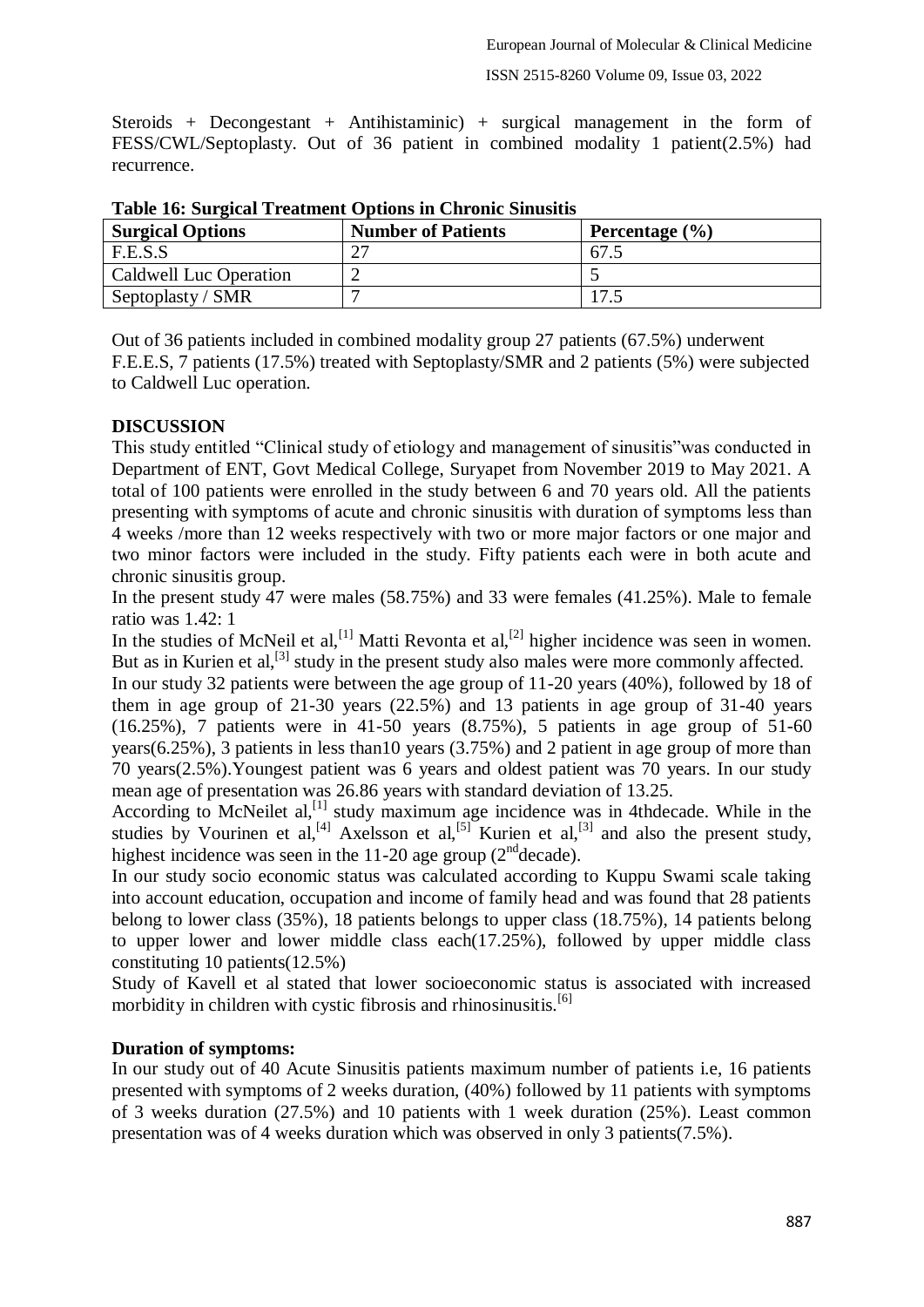Steroids + Decongestant + Antihistaminic) + surgical management in the form of FESS/CWL/Septoplasty. Out of 36 patient in combined modality 1 patient(2.5%) had recurrence.

| <b>Surgical Options</b> | <b>Number of Patients</b> | Percentage $(\% )$ |
|-------------------------|---------------------------|--------------------|
| F.E.S.S                 |                           | 67.                |
| Caldwell Luc Operation  |                           |                    |
| Septoplasty / SMR       |                           |                    |

**Table 16: Surgical Treatment Options in Chronic Sinusitis**

Out of 36 patients included in combined modality group 27 patients (67.5%) underwent F.E.E.S, 7 patients (17.5%) treated with Septoplasty/SMR and 2 patients (5%) were subjected to Caldwell Luc operation.

## **DISCUSSION**

This study entitled "Clinical study of etiology and management of sinusitis"was conducted in Department of ENT, Govt Medical College, Suryapet from November 2019 to May 2021. A total of 100 patients were enrolled in the study between 6 and 70 years old. All the patients presenting with symptoms of acute and chronic sinusitis with duration of symptoms less than 4 weeks /more than 12 weeks respectively with two or more major factors or one major and two minor factors were included in the study. Fifty patients each were in both acute and chronic sinusitis group.

In the present study 47 were males (58.75%) and 33 were females (41.25%). Male to female ratio was 1.42: 1

In the studies of McNeil et al,  $\left[1\right]$  Matti Revonta et al,  $\left[2\right]$  higher incidence was seen in women. But as in Kurien et al,<sup>[3]</sup> study in the present study also males were more commonly affected.

In our study 32 patients were between the age group of 11-20 years (40%), followed by 18 of them in age group of 21-30 years (22.5%) and 13 patients in age group of 31-40 years (16.25%), 7 patients were in 41-50 years (8.75%), 5 patients in age group of 51-60 years(6.25%), 3 patients in less than10 years (3.75%) and 2 patient in age group of more than 70 years(2.5%).Youngest patient was 6 years and oldest patient was 70 years. In our study mean age of presentation was 26.86 years with standard deviation of 13.25.

According to McNeilet al,<sup>[1]</sup> study maximum age incidence was in 4thdecade. While in the studies by Vourinen et al,<sup>[4]</sup> Axelsson et al,<sup>[5]</sup> Kurien et al,<sup>[3]</sup> and also the present study, highest incidence was seen in the  $11-20$  age group ( $2<sup>nd</sup>$ decade).

In our study socio economic status was calculated according to Kuppu Swami scale taking into account education, occupation and income of family head and was found that 28 patients belong to lower class (35%), 18 patients belongs to upper class (18.75%), 14 patients belong to upper lower and lower middle class each(17.25%), followed by upper middle class constituting 10 patients(12.5%)

Study of Kavell et al stated that lower socioeconomic status is associated with increased morbidity in children with cystic fibrosis and rhinosinusitis. $[6]$ 

## **Duration of symptoms:**

In our study out of 40 Acute Sinusitis patients maximum number of patients i.e, 16 patients presented with symptoms of 2 weeks duration, (40%) followed by 11 patients with symptoms of 3 weeks duration (27.5%) and 10 patients with 1 week duration (25%). Least common presentation was of 4 weeks duration which was observed in only 3 patients(7.5%).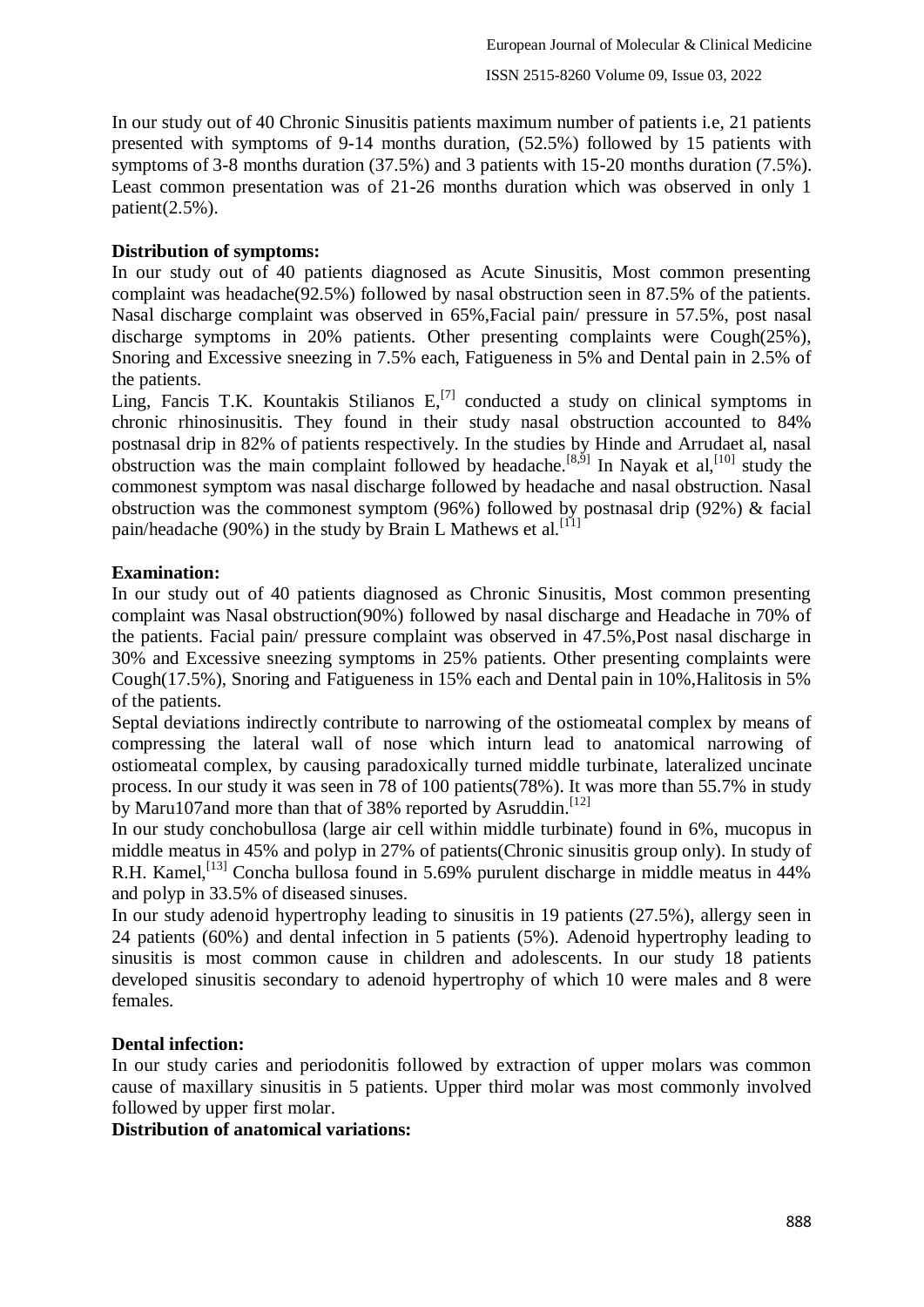In our study out of 40 Chronic Sinusitis patients maximum number of patients i.e, 21 patients presented with symptoms of 9-14 months duration, (52.5%) followed by 15 patients with symptoms of 3-8 months duration (37.5%) and 3 patients with 15-20 months duration (7.5%). Least common presentation was of 21-26 months duration which was observed in only 1 patient $(2.5\%)$ .

# **Distribution of symptoms:**

In our study out of 40 patients diagnosed as Acute Sinusitis, Most common presenting complaint was headache(92.5%) followed by nasal obstruction seen in 87.5% of the patients. Nasal discharge complaint was observed in 65%,Facial pain/ pressure in 57.5%, post nasal discharge symptoms in 20% patients. Other presenting complaints were Cough(25%), Snoring and Excessive sneezing in 7.5% each, Fatigueness in 5% and Dental pain in 2.5% of the patients.

Ling, Fancis T.K. Kountakis Stilianos  $E<sub>1</sub>$ <sup>[7]</sup> conducted a study on clinical symptoms in chronic rhinosinusitis. They found in their study nasal obstruction accounted to 84% postnasal drip in 82% of patients respectively. In the studies by Hinde and Arrudaet al, nasal obstruction was the main complaint followed by headache.<sup>[8,5]</sup> In Nayak et al,<sup>[10]</sup> study the commonest symptom was nasal discharge followed by headache and nasal obstruction. Nasal obstruction was the commonest symptom (96%) followed by postnasal drip (92%) & facial pain/headache (90%) in the study by Brain L Mathews et al.  $[11]$ 

# **Examination:**

In our study out of 40 patients diagnosed as Chronic Sinusitis, Most common presenting complaint was Nasal obstruction(90%) followed by nasal discharge and Headache in 70% of the patients. Facial pain/ pressure complaint was observed in 47.5%,Post nasal discharge in 30% and Excessive sneezing symptoms in 25% patients. Other presenting complaints were Cough(17.5%), Snoring and Fatigueness in 15% each and Dental pain in 10%,Halitosis in 5% of the patients.

Septal deviations indirectly contribute to narrowing of the ostiomeatal complex by means of compressing the lateral wall of nose which inturn lead to anatomical narrowing of ostiomeatal complex, by causing paradoxically turned middle turbinate, lateralized uncinate process. In our study it was seen in 78 of 100 patients(78%). It was more than 55.7% in study by Maru107and more than that of 38% reported by Asruddin.<sup>[12]</sup>

In our study conchobullosa (large air cell within middle turbinate) found in 6%, mucopus in middle meatus in 45% and polyp in 27% of patients(Chronic sinusitis group only). In study of R.H. Kamel,<sup>[13]</sup> Concha bullosa found in 5.69% purulent discharge in middle meatus in 44% and polyp in 33.5% of diseased sinuses.

In our study adenoid hypertrophy leading to sinusitis in 19 patients (27.5%), allergy seen in 24 patients (60%) and dental infection in 5 patients (5%). Adenoid hypertrophy leading to sinusitis is most common cause in children and adolescents. In our study 18 patients developed sinusitis secondary to adenoid hypertrophy of which 10 were males and 8 were females.

# **Dental infection:**

In our study caries and periodonitis followed by extraction of upper molars was common cause of maxillary sinusitis in 5 patients. Upper third molar was most commonly involved followed by upper first molar.

**Distribution of anatomical variations:**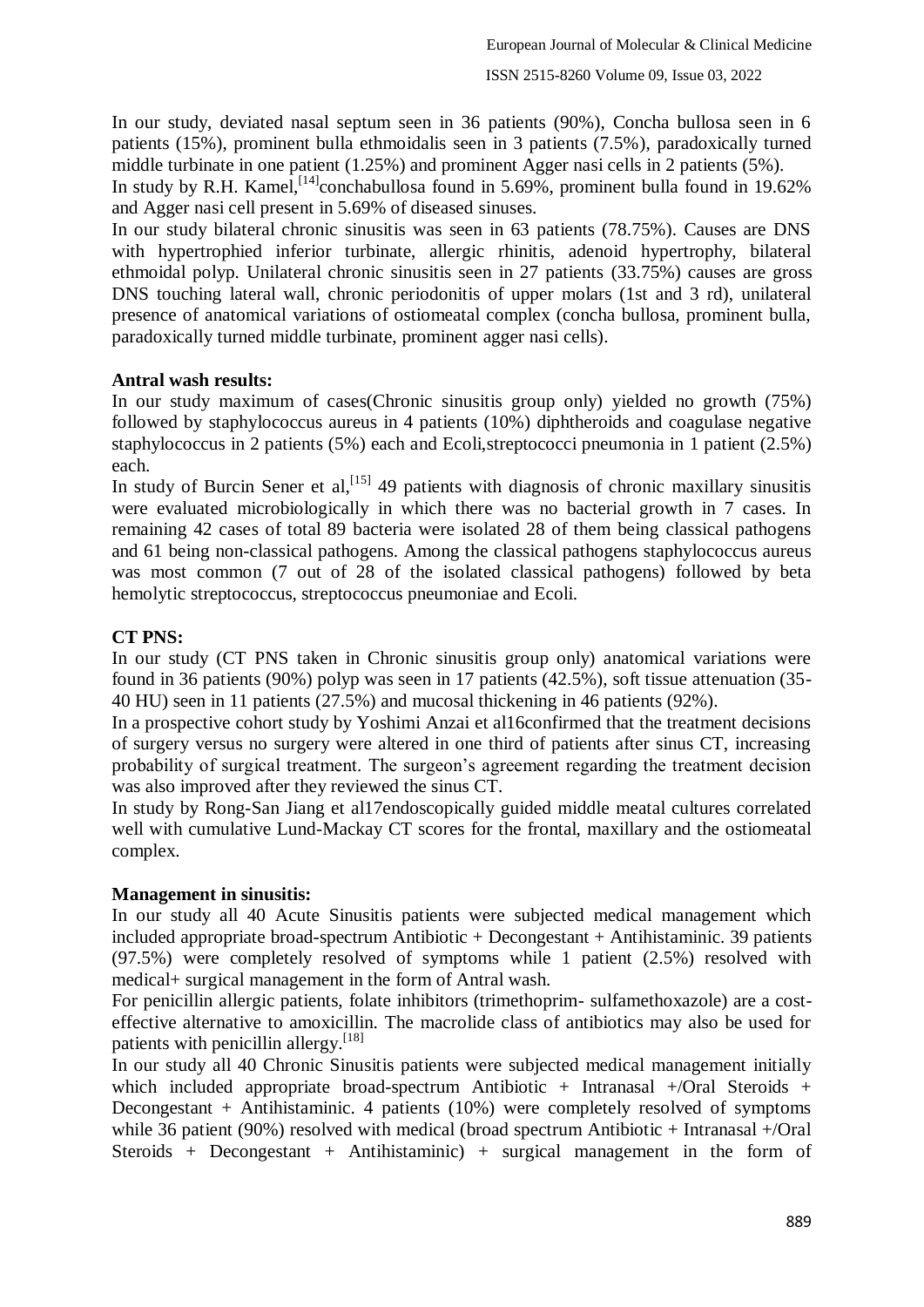In our study, deviated nasal septum seen in 36 patients (90%), Concha bullosa seen in 6 patients (15%), prominent bulla ethmoidalis seen in 3 patients (7.5%), paradoxically turned middle turbinate in one patient (1.25%) and prominent Agger nasi cells in 2 patients (5%).

In study by R.H. Kamel, <sup>[14]</sup>conchabullosa found in 5.69%, prominent bulla found in 19.62% and Agger nasi cell present in 5.69% of diseased sinuses.

In our study bilateral chronic sinusitis was seen in 63 patients (78.75%). Causes are DNS with hypertrophied inferior turbinate, allergic rhinitis, adenoid hypertrophy, bilateral ethmoidal polyp. Unilateral chronic sinusitis seen in 27 patients (33.75%) causes are gross DNS touching lateral wall, chronic periodonitis of upper molars (1st and 3 rd), unilateral presence of anatomical variations of ostiomeatal complex (concha bullosa, prominent bulla, paradoxically turned middle turbinate, prominent agger nasi cells).

## **Antral wash results:**

In our study maximum of cases(Chronic sinusitis group only) yielded no growth (75%) followed by staphylococcus aureus in 4 patients (10%) diphtheroids and coagulase negative staphylococcus in 2 patients (5%) each and Ecoli,streptococci pneumonia in 1 patient (2.5%) each.

In study of Burcin Sener et al,  $[15]$  49 patients with diagnosis of chronic maxillary sinusitis were evaluated microbiologically in which there was no bacterial growth in 7 cases. In remaining 42 cases of total 89 bacteria were isolated 28 of them being classical pathogens and 61 being non-classical pathogens. Among the classical pathogens staphylococcus aureus was most common (7 out of 28 of the isolated classical pathogens) followed by beta hemolytic streptococcus, streptococcus pneumoniae and Ecoli.

# **CT PNS:**

In our study (CT PNS taken in Chronic sinusitis group only) anatomical variations were found in 36 patients (90%) polyp was seen in 17 patients (42.5%), soft tissue attenuation (35- 40 HU) seen in 11 patients (27.5%) and mucosal thickening in 46 patients (92%).

In a prospective cohort study by Yoshimi Anzai et al16confirmed that the treatment decisions of surgery versus no surgery were altered in one third of patients after sinus CT, increasing probability of surgical treatment. The surgeon's agreement regarding the treatment decision was also improved after they reviewed the sinus CT.

In study by Rong-San Jiang et al17endoscopically guided middle meatal cultures correlated well with cumulative Lund-Mackay CT scores for the frontal, maxillary and the ostiomeatal complex.

# **Management in sinusitis:**

In our study all 40 Acute Sinusitis patients were subjected medical management which included appropriate broad-spectrum Antibiotic + Decongestant + Antihistaminic. 39 patients (97.5%) were completely resolved of symptoms while 1 patient (2.5%) resolved with medical+ surgical management in the form of Antral wash.

For penicillin allergic patients, folate inhibitors (trimethoprim- sulfamethoxazole) are a costeffective alternative to amoxicillin. The macrolide class of antibiotics may also be used for patients with penicillin allergy.<sup>[18]</sup>

In our study all 40 Chronic Sinusitis patients were subjected medical management initially which included appropriate broad-spectrum Antibiotic + Intranasal +/Oral Steroids + Decongestant + Antihistaminic. 4 patients (10%) were completely resolved of symptoms while 36 patient (90%) resolved with medical (broad spectrum Antibiotic + Intranasal +/Oral Steroids + Decongestant + Antihistaminic) + surgical management in the form of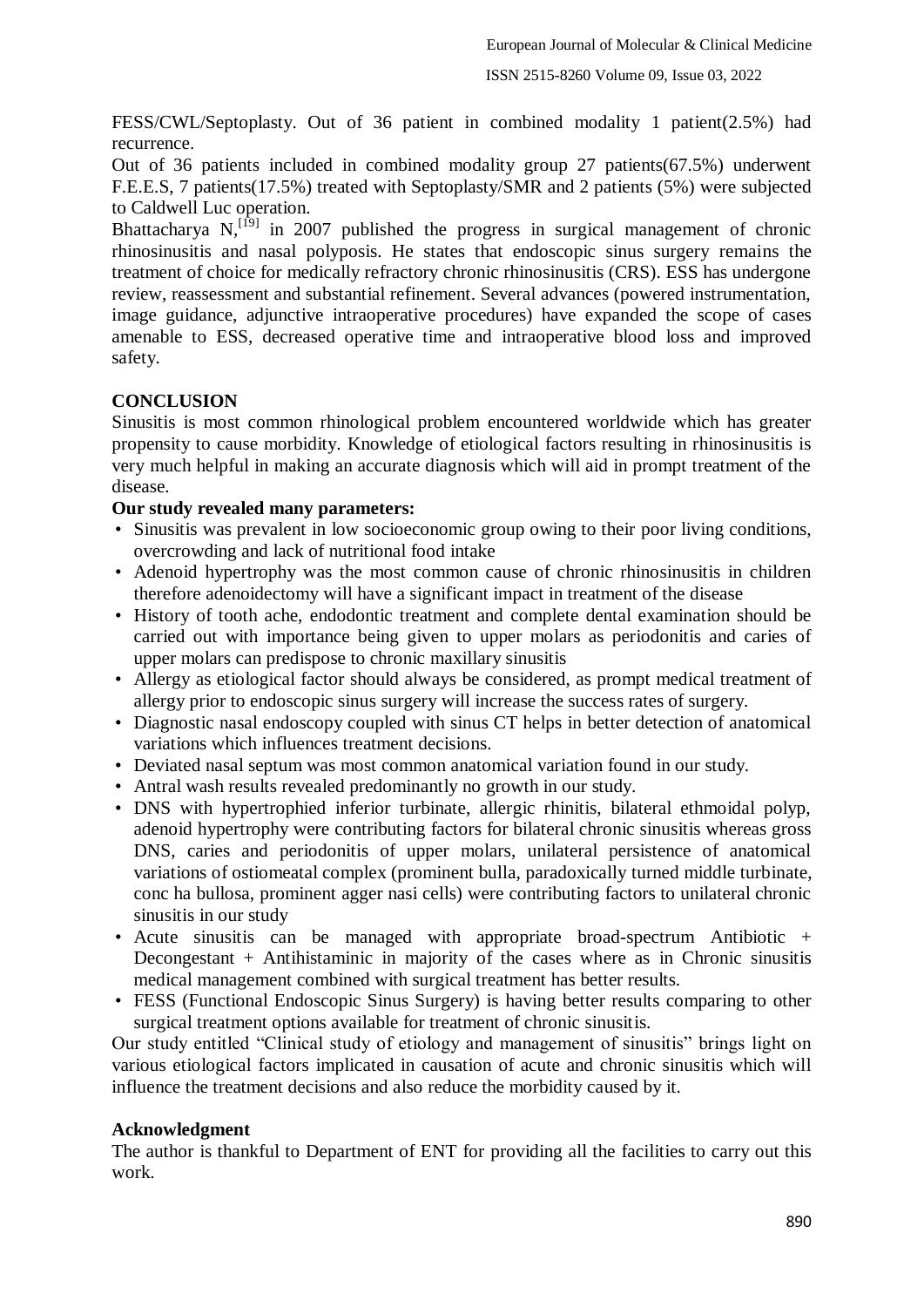FESS/CWL/Septoplasty. Out of 36 patient in combined modality 1 patient(2.5%) had recurrence.

Out of 36 patients included in combined modality group 27 patients(67.5%) underwent F.E.E.S, 7 patients(17.5%) treated with Septoplasty/SMR and 2 patients (5%) were subjected to Caldwell Luc operation.

Bhattacharya  $N$ , <sup>[19]</sup> in 2007 published the progress in surgical management of chronic rhinosinusitis and nasal polyposis. He states that endoscopic sinus surgery remains the treatment of choice for medically refractory chronic rhinosinusitis (CRS). ESS has undergone review, reassessment and substantial refinement. Several advances (powered instrumentation, image guidance, adjunctive intraoperative procedures) have expanded the scope of cases amenable to ESS, decreased operative time and intraoperative blood loss and improved safety.

## **CONCLUSION**

Sinusitis is most common rhinological problem encountered worldwide which has greater propensity to cause morbidity. Knowledge of etiological factors resulting in rhinosinusitis is very much helpful in making an accurate diagnosis which will aid in prompt treatment of the disease.

## **Our study revealed many parameters:**

- Sinusitis was prevalent in low socioeconomic group owing to their poor living conditions, overcrowding and lack of nutritional food intake
- Adenoid hypertrophy was the most common cause of chronic rhinosinusitis in children therefore adenoidectomy will have a significant impact in treatment of the disease
- History of tooth ache, endodontic treatment and complete dental examination should be carried out with importance being given to upper molars as periodonitis and caries of upper molars can predispose to chronic maxillary sinusitis
- Allergy as etiological factor should always be considered, as prompt medical treatment of allergy prior to endoscopic sinus surgery will increase the success rates of surgery.
- Diagnostic nasal endoscopy coupled with sinus CT helps in better detection of anatomical variations which influences treatment decisions.
- Deviated nasal septum was most common anatomical variation found in our study.
- Antral wash results revealed predominantly no growth in our study.
- DNS with hypertrophied inferior turbinate, allergic rhinitis, bilateral ethmoidal polyp, adenoid hypertrophy were contributing factors for bilateral chronic sinusitis whereas gross DNS, caries and periodonitis of upper molars, unilateral persistence of anatomical variations of ostiomeatal complex (prominent bulla, paradoxically turned middle turbinate, conc ha bullosa, prominent agger nasi cells) were contributing factors to unilateral chronic sinusitis in our study
- Acute sinusitis can be managed with appropriate broad-spectrum Antibiotic + Decongestant + Antihistaminic in majority of the cases where as in Chronic sinusitis medical management combined with surgical treatment has better results.
- FESS (Functional Endoscopic Sinus Surgery) is having better results comparing to other surgical treatment options available for treatment of chronic sinusitis.

Our study entitled "Clinical study of etiology and management of sinusitis" brings light on various etiological factors implicated in causation of acute and chronic sinusitis which will influence the treatment decisions and also reduce the morbidity caused by it.

## **Acknowledgment**

The author is thankful to Department of ENT for providing all the facilities to carry out this work.